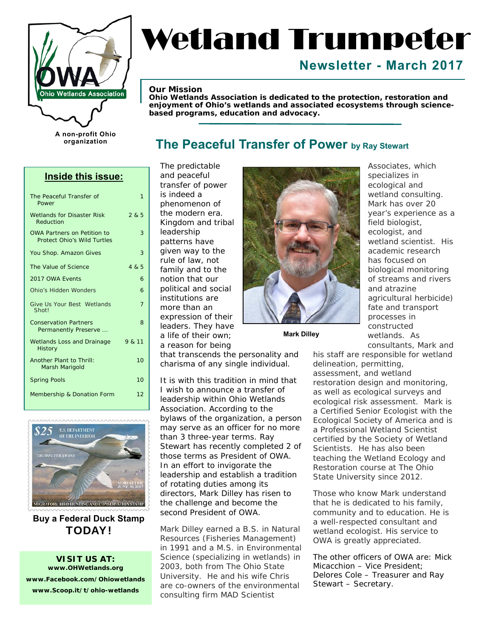

# Wetland Trumpeter

## **Newsletter - March 2017**

#### *Our Mission*

*Ohio Wetlands Association is dedicated to the protection, restoration and enjoyment of Ohio's wetlands and associated ecosystems through sciencebased programs, education and advocacy.* 

## **The Peaceful Transfer of Power by Ray Stewart**

**Inside this issue:** 

| The Peaceful Transfer of<br>Power                                 | 1              |
|-------------------------------------------------------------------|----------------|
| 2 & 5<br><b>Wetlands for Disaster Risk</b><br>Reduction           |                |
| OWA Partners on Petition to<br><b>Protect Ohio's Wild Turtles</b> | 3              |
| You Shop. Amazon Gives                                            | 3              |
| 4 & 5<br>The Value of Science                                     |                |
| 2017 OWA Events                                                   | 6              |
| <b>Ohio's Hidden Wonders</b>                                      | 6              |
| Give Us Your Best Wetlands<br>Shotl                               | $\overline{7}$ |
| <b>Conservation Partners</b><br>Permanently Preserve              | 8              |
| 9 & 11<br><b>Wetlands Loss and Drainage</b><br>History            |                |
| Another Plant to Thrill:<br>Marsh Marigold                        | 10             |
| <b>Spring Pools</b>                                               | 10             |
| Membership & Donation Form                                        | 12             |



#### **Buy a Federal Duck Stamp** TODAY!

**VISIT US AT: [www.OHWetlands.org](http://www.OHWetlands.org)  [www.Facebook.com/Ohiowetlands](http://www.Facebook.com/Ohiowetlands)  [www.Scoop.it/t/ohio-wetlands](http://www.Scoop.it/t/ohio-wetlands)** 

The predictable and peaceful transfer of power is indeed a phenomenon of the modern era. Kingdom and tribal leadership patterns have given way to the rule of law, not family and to the notion that our political and social institutions are more than an expression of their leaders. They have a life of their own; a reason for being

that transcends the personality and charisma of any single individual.

It is with this tradition in mind that I wish to announce a transfer of leadership within Ohio Wetlands Association. According to the bylaws of the organization, a person may serve as an officer for no more than 3 three-year terms. Ray Stewart has recently completed 2 of those terms as President of OWA. In an effort to invigorate the leadership and establish a tradition of rotating duties among its directors, Mark Dilley has risen to the challenge and become the second President of OWA.

Mark Dilley earned a B.S. in Natural Resources (Fisheries Management) in 1991 and a M.S. in Environmental Science (specializing in wetlands) in 2003, both from The Ohio State University. He and his wife Chris are co-owners of the environmental consulting firm MAD Scientist



**Mark Dilley** 

Associates, which specializes in ecological and wetland consulting. Mark has over 20 year's experience as a field biologist, ecologist, and wetland scientist. His academic research has focused on biological monitoring of streams and rivers and atrazine agricultural herbicide) fate and transport processes in constructed wetlands. As

consultants, Mark and his staff are responsible for wetland

delineation, permitting, assessment, and wetland restoration design and monitoring, as well as ecological surveys and ecological risk assessment. Mark is a Certified Senior Ecologist with the Ecological Society of America and is a Professional Wetland Scientist certified by the Society of Wetland Scientists. He has also been teaching the Wetland Ecology and Restoration course at The Ohio State University since 2012.

Those who know Mark understand that he is dedicated to his family, community and to education. He is a well-respected consultant and wetland ecologist. His service to OWA is greatly appreciated.

The other officers of OWA are: Mick Micacchion – Vice President; Delores Cole – Treasurer and Ray Stewart – Secretary.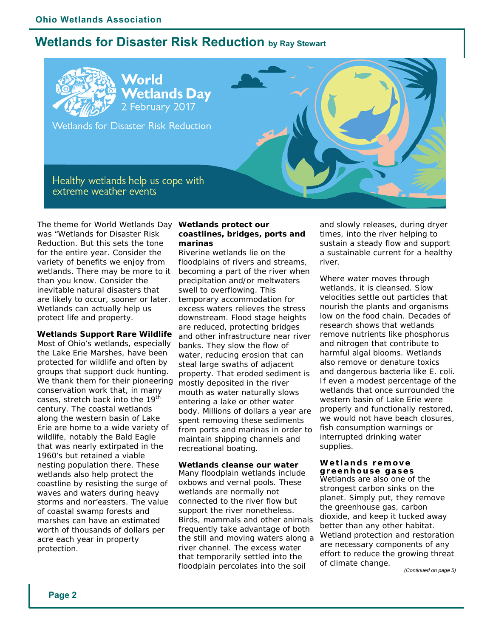## **Wetlands for Disaster Risk Reduction by Ray Stewart**



The theme for World Wetlands Day was "Wetlands for Disaster Risk Reduction. But this sets the tone for the entire year. Consider the variety of benefits we enjoy from wetlands. There may be more to it than you know. Consider the inevitable natural disasters that are likely to occur, sooner or later. Wetlands can actually help us protect life and property.

#### **Wetlands Support Rare Wildlife**

Most of Ohio's wetlands, especially the Lake Erie Marshes, have been protected for wildlife and often by groups that support duck hunting. We thank them for their pioneering conservation work that, in many cases, stretch back into the 19<sup>th</sup> century. The coastal wetlands along the western basin of Lake Erie are home to a wide variety of wildlife, notably the Bald Eagle that was nearly extirpated in the 1960's but retained a viable nesting population there. These wetlands also help protect the coastline by resisting the surge of waves and waters during heavy storms and nor'easters. The value of coastal swamp forests and marshes can have an estimated worth of thousands of dollars per acre each year in property protection.

#### **Wetlands protect our coastlines, bridges, ports and marinas**

Riverine wetlands lie on the floodplains of rivers and streams, becoming a part of the river when precipitation and/or meltwaters swell to overflowing. This temporary accommodation for excess waters relieves the stress downstream. Flood stage heights are reduced, protecting bridges and other infrastructure near river banks. They slow the flow of water, reducing erosion that can steal large swaths of adjacent property. That eroded sediment is mostly deposited in the river mouth as water naturally slows entering a lake or other water body. Millions of dollars a year are spent removing these sediments from ports and marinas in order to maintain shipping channels and recreational boating.

#### **Wetlands cleanse our water**

Many floodplain wetlands include oxbows and vernal pools. These wetlands are normally not connected to the river flow but support the river nonetheless. Birds, mammals and other animals frequently take advantage of both the still and moving waters along a river channel. The excess water that temporarily settled into the floodplain percolates into the soil

and slowly releases, during dryer times, into the river helping to sustain a steady flow and support a sustainable current for a healthy river.

Where water moves through wetlands, it is cleansed. Slow velocities settle out particles that nourish the plants and organisms low on the food chain. Decades of research shows that wetlands remove nutrients like phosphorus and nitrogen that contribute to harmful algal blooms. Wetlands also remove or denature toxics and dangerous bacteria like *E. coli*. If even a modest percentage of the wetlands that once surrounded the western basin of Lake Erie were properly and functionally restored, we would not have beach closures, fish consumption warnings or interrupted drinking water supplies.

#### **Wetlands remove greenhouse gases**

Wetlands are also one of the strongest carbon sinks on the planet. Simply put, they remove the greenhouse gas, carbon dioxide, and keep it tucked away better than any other habitat. Wetland protection and restoration are necessary components of any effort to reduce the growing threat of climate change.

*(Continued on page 5)*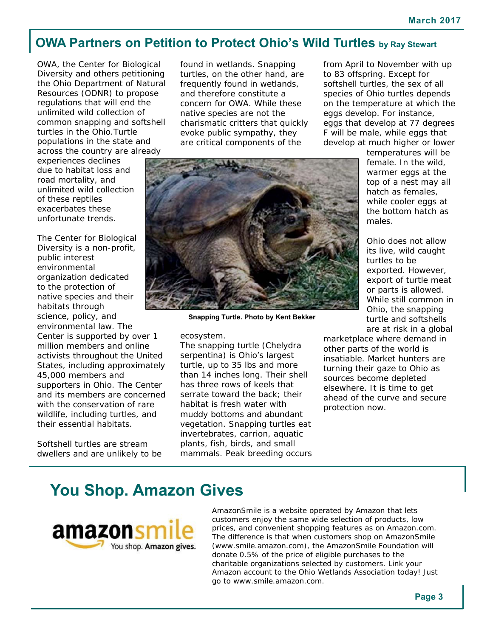## **OWA Partners on Petition to Protect Ohio's Wild Turtles by Ray Stewart**

OWA, the Center for Biological Diversity and others petitioning the Ohio Department of Natural Resources (ODNR) to propose regulations that will end the unlimited wild collection of common snapping and softshell turtles in the Ohio.Turtle populations in the state and across the country are already

experiences declines due to habitat loss and road mortality, and unlimited wild collection of these reptiles exacerbates these unfortunate trends.

The Center for Biological Diversity is a non-profit, public interest environmental organization dedicated to the protection of native species and their habitats through science, policy, and environmental law. The Center is supported by over 1 million members and online activists throughout the United States, including approximately 45,000 members and supporters in Ohio. The Center and its members are concerned with the conservation of rare wildlife, including turtles, and their essential habitats.

Softshell turtles are stream dwellers and are unlikely to be found in wetlands. Snapping turtles, on the other hand, are frequently found in wetlands, and therefore constitute a concern for OWA. While these native species are not the charismatic critters that quickly evoke public sympathy, they are critical components of the

from April to November with up to 83 offspring. Except for softshell turtles, the sex of all species of Ohio turtles depends on the temperature at which the eggs develop. For instance, eggs that develop at 77 degrees F will be male, while eggs that develop at much higher or lower



**Snapping Turtle. Photo by Kent Bekker** 

ecosystem.

The snapping turtle (*Chelydra serpentina*) is Ohio's largest turtle, up to 35 lbs and more than 14 inches long. Their shell has three rows of keels that serrate toward the back; their habitat is fresh water with muddy bottoms and abundant vegetation. Snapping turtles eat invertebrates, carrion, aquatic plants, fish, birds, and small mammals. Peak breeding occurs

temperatures will be female. In the wild, warmer eggs at the top of a nest may all hatch as females, while cooler eggs at the bottom hatch as males.

Ohio does not allow its live, wild caught turtles to be exported. However, export of turtle meat or parts is allowed. While still common in Ohio, the snapping turtle and softshells are at risk in a global

marketplace where demand in other parts of the world is insatiable. Market hunters are turning their gaze to Ohio as sources become depleted elsewhere. It is time to get ahead of the curve and secure protection now.

# **You Shop. Amazon Gives**



AmazonSmile is a website operated by Amazon that lets customers enjoy the same wide selection of products, low prices, and convenient shopping features as on Amazon.com. The difference is that when customers shop on AmazonSmile [\(www.smile.amazon.com\), th](http://www.smile.amazon.com)e AmazonSmile Foundation will donate 0.5% of the price of eligible purchases to the charitable organizations selected by customers. Link your Amazon account to the Ohio Wetlands Association today! Just go to [www.smile.amazon.com.](http://www.smile.amazon.com)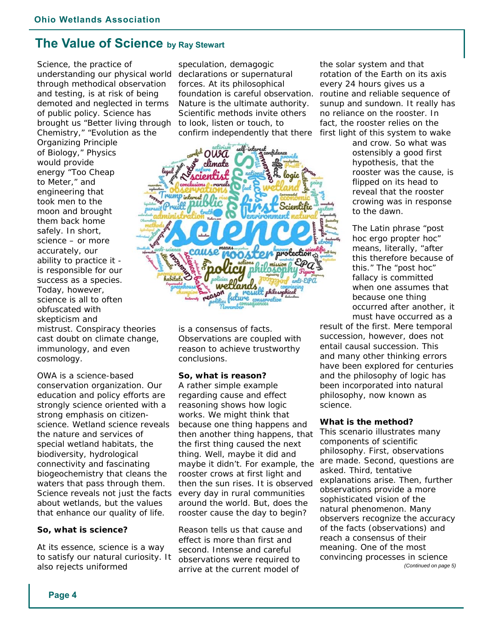## **The Value of Science by Ray Stewart**

Science, the practice of understanding our physical world through methodical observation and testing, is at risk of being demoted and neglected in terms of public policy. Science has brought us "Better living through Chemistry," "Evolution as the

Organizing Principle of Biology," Physics would provide energy "Too Cheap to Meter," and engineering that took men to the moon and brought them back home safely. In short, science – or more accurately, our ability to practice it is responsible for our success as a species. Today, however, science is all to often obfuscated with skepticism and mistrust. Conspiracy theories cast doubt on climate change, immunology, and even cosmology.

OWA is a science-based conservation organization. Our education and policy efforts are strongly science oriented with a strong emphasis on citizenscience. Wetland science reveals the nature and services of special wetland habitats, the biodiversity, hydrological connectivity and fascinating biogeochemistry that cleans the waters that pass through them. Science reveals not just the facts about wetlands, but the values that enhance our quality of life.

#### **So, what is science?**

At its essence, science is a way to satisfy our natural curiosity. It also rejects uniformed

speculation, demagogic declarations or supernatural forces. At its philosophical foundation is careful observation. Nature is the ultimate authority. Scientific methods invite others to look, listen or touch, to confirm independently that there



is a consensus of facts. Observations are coupled with reason to achieve trustworthy conclusions.

#### **So, what is reason?**

A rather simple example regarding cause and effect reasoning shows how logic works. We might think that because one thing happens and then another thing happens, that the first thing caused the next thing. Well, maybe it did and maybe it didn't. For example, the rooster crows at first light and then the sun rises. It is observed every day in rural communities around the world. But, does the rooster cause the day to begin?

Reason tells us that cause and effect is more than first and second. Intense and careful observations were required to arrive at the current model of

the solar system and that rotation of the Earth on its axis every 24 hours gives us a routine and reliable sequence of sunup and sundown. It really has no reliance on the rooster. In fact, the rooster relies on the first light of this system to wake

> and crow. So what was ostensibly a good first hypothesis, that the rooster was the cause, is flipped on its head to reveal that the rooster crowing was in response to the dawn.

The Latin phrase "post hoc ergo propter hoc" means, literally, "after this therefore because of this." The "post hoc" fallacy is committed when one assumes that because one thing occurred after another, it must have occurred as a

result of the first. Mere temporal succession, however, does not entail causal succession. This and many other thinking errors have been explored for centuries and the philosophy of logic has been incorporated into natural philosophy, now known as science.

#### **What is the method?**

This scenario illustrates many components of scientific philosophy. First, observations are made. Second, questions are asked. Third, tentative explanations arise. Then, further observations provide a more sophisticated vision of the natural phenomenon. Many observers recognize the accuracy of the facts (observations) and reach a consensus of their meaning. One of the most convincing processes in science *(Continued on page 5)*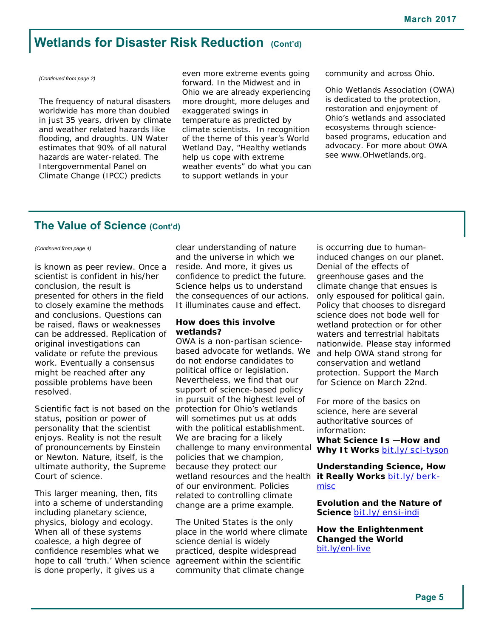## **Wetlands for Disaster Risk Reduction (Cont'd)**

*(Continued from page 2)* 

The frequency of natural disasters worldwide has more than doubled in just 35 years, driven by climate and weather related hazards like flooding, and droughts. UN Water estimates that 90% of all natural hazards are water-related. The Intergovernmental Panel on Climate Change (IPCC) predicts

even more extreme events going forward. In the Midwest and in Ohio we are already experiencing more drought, more deluges and exaggerated swings in temperature as predicted by climate scientists. In recognition of the theme of this year's World Wetland Day, "Healthy wetlands help us cope with extreme weather events" do what you can to support wetlands in your

community and across Ohio.

Ohio Wetlands Association (OWA) is dedicated to the protection, restoration and enjoyment of Ohio's wetlands and associated ecosystems through sciencebased programs, education and advocacy. For more about OWA see [www.OHwetlands.org.](http://www.OHwetlands.org) 

## **The Value of Science (Cont'd)**

*(Continued from page 4)* 

is known as peer review. Once a scientist is confident in his/her conclusion, the result is presented for others in the field to closely examine the methods and conclusions. Questions can be raised, flaws or weaknesses can be addressed. Replication of original investigations can validate or refute the previous work. Eventually a consensus might be reached after any possible problems have been resolved.

Scientific fact is not based on the status, position or power of personality that the scientist enjoys. Reality is not the result of pronouncements by Einstein or Newton. Nature, itself, is the ultimate authority, the Supreme Court of science.

This larger meaning, then, fits into a scheme of understanding including planetary science, physics, biology and ecology. When all of these systems coalesce, a high degree of confidence resembles what we hope to call 'truth.' When science is done properly, it gives us a

clear understanding of nature and the universe in which we reside. And more, it gives us confidence to predict the future. Science helps us to understand the consequences of our actions. It illuminates cause and effect.

#### **How does this involve wetlands?**

OWA is a non-partisan sciencebased advocate for wetlands. We do not endorse candidates to political office or legislation. Nevertheless, we find that our support of science-based policy in pursuit of the highest level of protection for Ohio's wetlands will sometimes put us at odds with the political establishment. We are bracing for a likely challenge to many environmental policies that we champion, because they protect our wetland resources and the health **it Really Works** bit.ly/ berkof our environment. Policies related to controlling climate change are a prime example.

The United States is the only place in the world where climate science denial is widely practiced, despite widespread agreement within the scientific community that climate change

is occurring due to humaninduced changes on our planet. Denial of the effects of greenhouse gases and the climate change that ensues is only espoused for political gain. Policy that chooses to disregard science does not bode well for wetland protection or for other waters and terrestrial habitats nationwide. Please stay informed and help OWA stand strong for conservation and wetland protection. Support the March for Science on March 22nd.

For more of the basics on science, here are several authoritative sources of information: **What Science Is —How and Why It Works** bit.ly/ sci-tyson

**Understanding Science, How**  misc

**Evolution and the Nature of Science** bit.ly/ ensi-indi

**How the Enlightenment Changed the World**  bit.ly/enl-live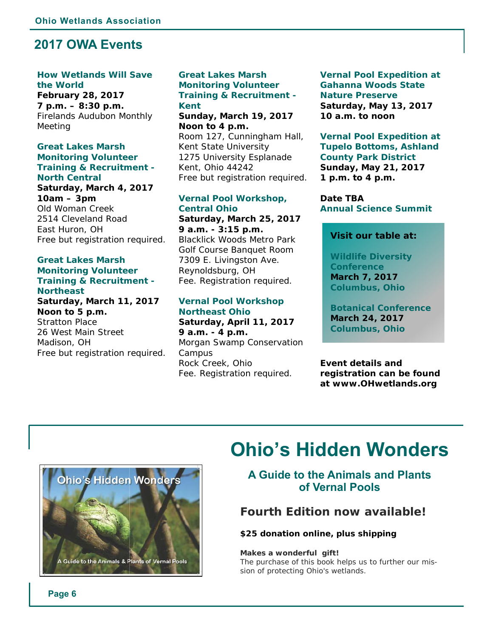## **2017 OWA Events**

#### *How Wetlands Will Save the World*

**February 28, 2017 7 p.m. – 8:30 p.m.**  Firelands Audubon Monthly Meeting

#### *Great Lakes Marsh Monitoring Volunteer Training & Recruitment - North Central*

**Saturday, March 4, 2017 10am – 3pm** 

Old Woman Creek 2514 Cleveland Road East Huron, OH Free but registration required.

#### *Great Lakes Marsh Monitoring Volunteer Training & Recruitment - Northeast*

**Saturday, March 11, 2017 Noon to 5 p.m.**  Stratton Place 26 West Main Street

Madison, OH Free but registration required.

#### *Great Lakes Marsh Monitoring Volunteer Training & Recruitment - Kent*

**Sunday, March 19, 2017 Noon to 4 p.m.**  Room 127, Cunningham Hall, Kent State University 1275 University Esplanade Kent, Ohio 44242 Free but registration required.

### *Vernal Pool Workshop, Central Ohio*

**Saturday, March 25, 2017 9 a.m. - 3:15 p.m.**  Blacklick Woods Metro Park Golf Course Banquet Room 7309 E. Livingston Ave. Reynoldsburg, OH Fee. Registration required.

*Vernal Pool Workshop Northeast Ohio*  **Saturday, April 11, 2017 9 a.m. - 4 p.m.**  Morgan Swamp Conservation Campus Rock Creek, Ohio Fee. Registration required.

*Vernal Pool Expedition at Gahanna Woods State Nature Preserve*  **Saturday, May 13, 2017 10 a.m. to noon** 

*Vernal Pool Expedition at Tupelo Bottoms, Ashland County Park District*  **Sunday, May 21, 2017 1 p.m. to 4 p.m.** 

**Date TBA**  *Annual Science Summit* 

#### *Visit our table at:*

*Wildlife Diversity Conference*  **March 7, 2017** 

*Columbus, Ohio* 

*Botanical Conference*  **March 24, 2017**  *Columbus, Ohio* 

**Event details and registration can be found at [www.OHwetlands.org](http://www.OHwetlands.org)** 



# **Ohio's Hidden Wonders**

## **A Guide to the Animals and Plants of Vernal Pools**

## *Fourth Edition now available!*

#### **\$25 donation online, plus shipping**

#### **Makes a wonderful gift!**

The purchase of this book helps us to further our mission of protecting Ohio's wetlands.

**Page 6**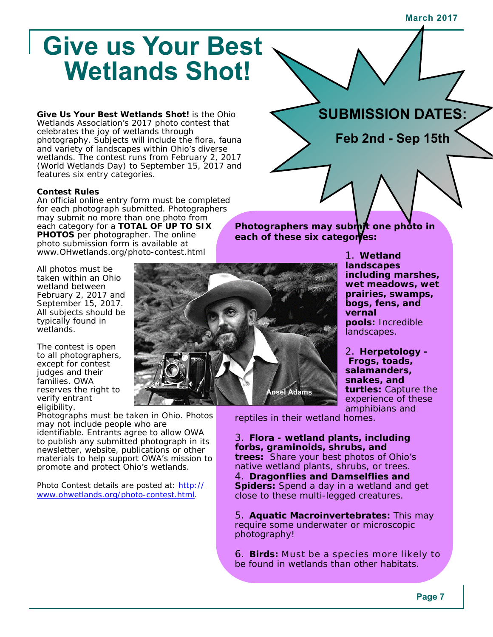# **Give us Your Best Wetlands Shot!**

*Give Us Your Best Wetlands Shot!* is the Ohio Wetlands Association's 2017 photo contest that celebrates the joy of wetlands through photography. Subjects will include the flora, fauna and variety of landscapes within Ohio's diverse wetlands. The contest runs from February 2, 2017 (World Wetlands Day) to September 15, 2017 and features six entry categories.

#### **Contest Rules**

An official online entry form must be completed for each photograph submitted. Photographers may submit no more than one photo from each category for a **TOTAL OF UP TO SIX PHOTOS** per photographer. The online photo submission form is available at [www.OHwetlands.org/photo-contest.html](http://www.OHwetlands.org/photo-contest.html) 

All photos must be taken within an Ohio wetland between February 2, 2017 and September 15, 2017. All subjects should be typically found in wetlands.

The contest is open to all photographers, except for contest judges and their families. OWA reserves the right to verify entrant eligibility.



identifiable. Entrants agree to allow OWA to publish any submitted photograph in its newsletter, website, publications or other materials to help support OWA's mission to promote and protect Ohio's wetlands.

Photo Contest details are posted at: [http://](http://www.ohwetlands.org/photo-contest.html) [www.ohwetlands.org/photo-contest.html.](http://www.ohwetlands.org/photo-contest.html) 

**Ansel Adams Ansel Adams Ansel Adams** 

**SUBMISSION DATES:** 

**Feb 2nd - Sep 15th** 

**Photographers may submit one photo in**  each of these six categores:

> 1. **Wetland landscapes including marshes, wet meadows, wet prairies, swamps, bogs, fens, and vernal pools:** Incredible landscapes.

2. **Herpetology - Frogs, toads, salamanders, snakes, and turtles:** Capture the experience of these amphibians and

reptiles in their wetland homes.

3. **Flora - wetland plants, including forbs, graminoids, shrubs, and trees:** Share your best photos of Ohio's native wetland plants, shrubs, or trees. 4. **Dragonflies and Damselflies and Spiders:** Spend a day in a wetland and get close to these multi-legged creatures.

5. **Aquatic Macroinvertebrates:** This may require some underwater or microscopic photography!

6. **Birds:** Must be a species more likely to be found in wetlands than other habitats.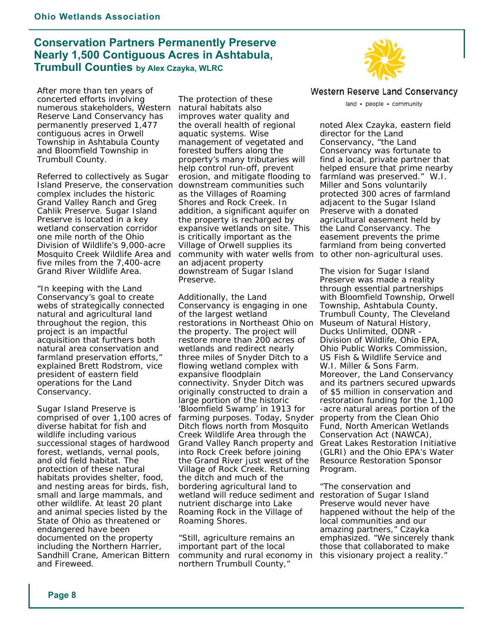### **Conservation Partners Permanently Preserve Nearly 1,500 Contiguous Acres in Ashtabula, Trumbull Counties by Alex Czayka, WLRC**

After more than ten years of concerted efforts involving numerous stakeholders, Western Reserve Land Conservancy has permanently preserved 1,477 contiguous acres in Orwell Township in Ashtabula County and Bloomfield Township in Trumbull County.

Referred to collectively as Sugar Island Preserve, the conservation complex includes the historic Grand Valley Ranch and Greg Cahlik Preserve. Sugar Island Preserve is located in a key wetland conservation corridor one mile north of the Ohio Division of Wildlife's 9,000-acre Mosquito Creek Wildlife Area and five miles from the 7,400-acre Grand River Wildlife Area.

"In keeping with the Land Conservancy's goal to create webs of strategically connected natural and agricultural land throughout the region, this project is an impactful acquisition that furthers both natural area conservation and farmland preservation efforts," explained Brett Rodstrom, vice president of eastern field operations for the Land Conservancy.

Sugar Island Preserve is comprised of over 1,100 acres of diverse habitat for fish and wildlife including various successional stages of hardwood forest, wetlands, vernal pools, and old field habitat. The protection of these natural habitats provides shelter, food, and nesting areas for birds, fish, small and large mammals, and other wildlife. At least 20 plant and animal species listed by the State of Ohio as threatened or endangered have been documented on the property including the Northern Harrier, Sandhill Crane, American Bittern and Fireweed.

The protection of these natural habitats also improves water quality and the overall health of regional aquatic systems. Wise management of vegetated and forested buffers along the property's many tributaries will help control run-off, prevent erosion, and mitigate flooding to downstream communities such as the Villages of Roaming Shores and Rock Creek. In addition, a significant aquifer on the property is recharged by expansive wetlands on site. This is critically important as the Village of Orwell supplies its community with water wells from to other non-agricultural uses. an adjacent property downstream of Sugar Island Preserve.

Additionally, the Land Conservancy is engaging in one of the largest wetland restorations in Northeast Ohio on the property. The project will restore more than 200 acres of wetlands and redirect nearly three miles of Snyder Ditch to a flowing wetland complex with expansive floodplain connectivity. Snyder Ditch was originally constructed to drain a large portion of the historic 'Bloomfield Swamp' in 1913 for farming purposes. Today, Snyder Ditch flows north from Mosquito Creek Wildlife Area through the Grand Valley Ranch property and into Rock Creek before joining the Grand River just west of the Village of Rock Creek. Returning the ditch and much of the bordering agricultural land to wetland will reduce sediment and nutrient discharge into Lake Roaming Rock in the Village of Roaming Shores.

"Still, agriculture remains an important part of the local community and rural economy in this visionary project a reality." northern Trumbull County,"



**Western Reserve Land Conservancy** 

land - people - community

noted Alex Czayka, eastern field director for the Land Conservancy, "the Land Conservancy was fortunate to find a local, private partner that helped ensure that prime nearby farmland was preserved." W.I. Miller and Sons voluntarily protected 300 acres of farmland adjacent to the Sugar Island Preserve with a donated agricultural easement held by the Land Conservancy. The easement prevents the prime farmland from being converted

The vision for Sugar Island Preserve was made a reality through essential partnerships with Bloomfield Township, Orwell Township, Ashtabula County, Trumbull County, The Cleveland Museum of Natural History, Ducks Unlimited, ODNR - Division of Wildlife, Ohio EPA, Ohio Public Works Commission, US Fish & Wildlife Service and W.I. Miller & Sons Farm. Moreover, the Land Conservancy and its partners secured upwards of \$5 million in conservation and restoration funding for the 1,100 -acre natural areas portion of the property from the Clean Ohio Fund, North American Wetlands Conservation Act (NAWCA), Great Lakes Restoration Initiative (GLRI) and the Ohio EPA's Water Resource Restoration Sponsor Program.

"The conservation and restoration of Sugar Island Preserve would *never* have happened without the help of the local communities and our amazing partners," Czayka emphasized. "We sincerely thank those that collaborated to make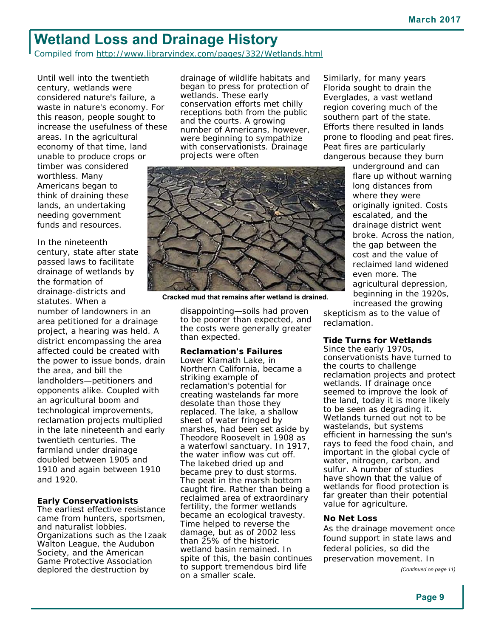## **Wetland Loss and Drainage History**

Compiled from <http://www.libraryindex.com/pages/332/Wetlands.html>

Until well into the twentieth century, wetlands were considered nature's failure, a waste in nature's economy. For this reason, people sought to increase the usefulness of these areas. In the agricultural economy of that time, land unable to produce crops or

timber was considered worthless. Many Americans began to think of draining these lands, an undertaking needing government funds and resources.

In the nineteenth century, state after state passed laws to facilitate drainage of wetlands by the formation of drainage-districts and statutes. When a

number of landowners in an area petitioned for a drainage project, a hearing was held. A district encompassing the area affected could be created with the power to issue bonds, drain the area, and bill the landholders—petitioners and opponents alike. Coupled with an agricultural boom and technological improvements, reclamation projects multiplied in the late nineteenth and early twentieth centuries. The farmland under drainage doubled between 1905 and 1910 and again between 1910 and 1920.

#### **Early Conservationists**

The earliest effective resistance came from hunters, sportsmen, and naturalist lobbies. Organizations such as the Izaak Walton League, the Audubon Society, and the American Game Protective Association deplored the destruction by

drainage of wildlife habitats and began to press for protection of wetlands. These early conservation efforts met chilly receptions both from the public and the courts. A growing number of Americans, however, were beginning to sympathize with conservationists. Drainage projects were often



**Cracked mud that remains after wetland is drained.** 

disappointing—soils had proven to be poorer than expected, and the costs were generally greater than expected.

#### **Reclamation's Failures**

Lower Klamath Lake, in Northern California, became a striking example of reclamation's potential for creating wastelands far more desolate than those they replaced. The lake, a shallow sheet of water fringed by marshes, had been set aside by Theodore Roosevelt in 1908 as a waterfowl sanctuary. In 1917, the water inflow was cut off. The lakebed dried up and became prey to dust storms. The peat in the marsh bottom caught fire. Rather than being a reclaimed area of extraordinary fertility, the former wetlands became an ecological travesty. Time helped to reverse the damage, but as of 2002 less than 25% of the historic wetland basin remained. In spite of this, the basin continues to support tremendous bird life on a smaller scale.

Similarly, for many years Florida sought to drain the Everglades, a vast wetland region covering much of the southern part of the state. Efforts there resulted in lands prone to flooding and peat fires. Peat fires are particularly dangerous because they burn

underground and can flare up without warning long distances from where they were originally ignited. Costs escalated, and the drainage district went broke. Across the nation, the gap between the cost and the value of reclaimed land widened even more. The agricultural depression, beginning in the 1920s, increased the growing

skepticism as to the value of reclamation.

#### **Tide Turns for Wetlands**

Since the early 1970s, conservationists have turned to the courts to challenge reclamation projects and protect wetlands. If drainage once seemed to improve the look of the land, today it is more likely to be seen as degrading it. Wetlands turned out not to be wastelands, but systems efficient in harnessing the sun's rays to feed the food chain, and important in the global cycle of water, nitrogen, carbon, and sulfur. A number of studies have shown that the value of wetlands for flood protection is far greater than their potential value for agriculture.

#### **No Net Loss**

As the drainage movement once found support in state laws and federal policies, so did the preservation movement. In

*(Continued on page 11)*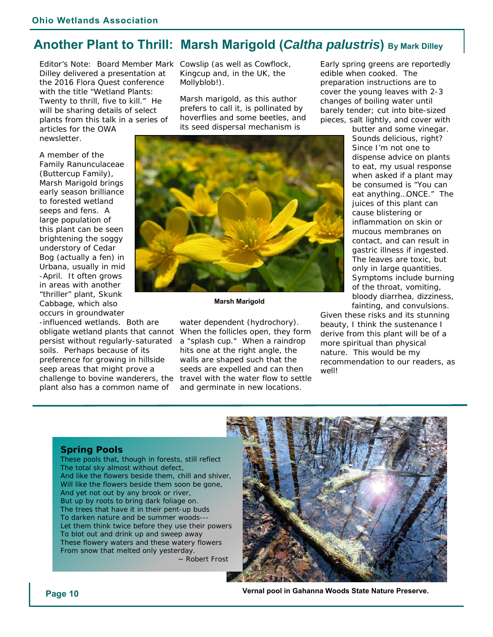## **Another Plant to Thrill: Marsh Marigold (***Caltha palustris***) By Mark Dilley**

Editor's Note: Board Member Mark Cowslip (as well as Cowflock, Dilley delivered a presentation at the 2016 Flora Quest conference with the title "Wetland Plants: Twenty to thrill, five to kill." He will be sharing details of select plants from this talk in a series of articles for the OWA newsletter.

A member of the Family Ranunculaceae (Buttercup Family), Marsh Marigold brings early season brilliance to forested wetland seeps and fens. A large population of this plant can be seen brightening the soggy understory of Cedar Bog (actually a fen) in Urbana, usually in mid -April. It often grows in areas with another "thriller" plant, Skunk Cabbage, which also occurs in groundwater

-influenced wetlands. Both are obligate wetland plants that cannot When the follicles open, they form persist without regularly-saturated soils. Perhaps because of its preference for growing in hillside seep areas that might prove a challenge to bovine wanderers, the plant also has a common name of

Kingcup and, in the UK, the Mollyblob!).

Marsh marigold, as this author prefers to call it, is pollinated by hoverflies and some beetles, and its seed dispersal mechanism is



**Marsh Marigold** 

water dependent (hydrochory). a "splash cup." When a raindrop hits one at the right angle, the walls are shaped such that the seeds are expelled and can then travel with the water flow to settle and germinate in new locations.

Early spring greens are reportedly edible when cooked. The preparation instructions are to cover the young leaves with 2-3 changes of boiling water until barely tender; cut into bite-sized pieces, salt lightly, and cover with

> butter and some vinegar. Sounds delicious, right? Since I'm not one to dispense advice on plants to eat, my usual response when asked if a plant may be consumed is "You can eat anything…ONCE." The juices of this plant can cause blistering or inflammation on skin or mucous membranes on contact, and can result in gastric illness if ingested. The leaves are toxic, but only in large quantities. Symptoms include burning of the throat, vomiting, bloody diarrhea, dizziness, fainting, and convulsions.

Given these risks and its stunning beauty, I think the sustenance I derive from this plant will be of a more spiritual than physical nature. This would be my recommendation to our readers, as well!

#### *Spring Pools*

*These pools that, though in forests, still reflect The total sky almost without defect, And like the flowers beside them, chill and shiver, Will like the flowers beside them soon be gone, And yet not out by any brook or river, But up by roots to bring dark foliage on. The trees that have it in their pent-up buds To darken nature and be summer woods--- Let them think twice before they use their powers To blot out and drink up and sweep away These flowery waters and these watery flowers From snow that melted only yesterday.*  ~ Robert Frost

**Vernal pool in Gahanna Woods State Nature Preserve.**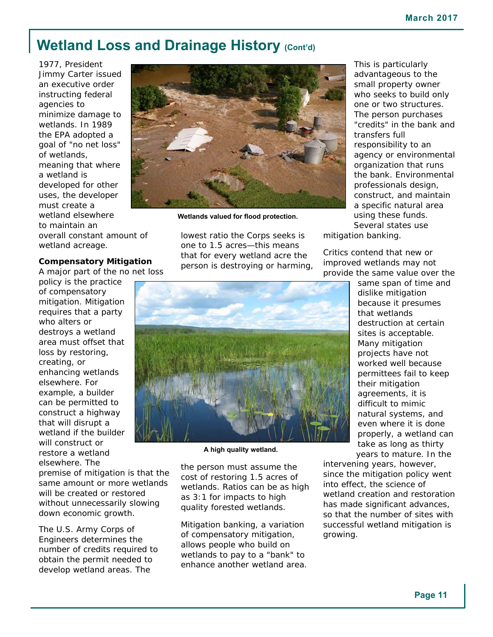## **Wetland Loss and Drainage History (Cont'd)**

1977, President Jimmy Carter issued an executive order instructing federal agencies to minimize damage to wetlands. In 1989 the EPA adopted a goal of "no net loss" of wetlands, meaning that where a wetland is developed for other uses, the developer must create a wetland elsewhere to maintain an

overall constant amount of wetland acreage.

#### **Compensatory Mitigation**

A major part of the no net loss

policy is the practice of compensatory mitigation. Mitigation requires that a party who alters or destroys a wetland area must offset that loss by restoring, creating, or enhancing wetlands elsewhere. For example, a builder can be permitted to construct a highway that will disrupt a wetland if the builder will construct or restore a wetland elsewhere. The

premise of mitigation is that the same amount or more wetlands will be created or restored without unnecessarily slowing down economic growth.

The U.S. Army Corps of Engineers determines the number of credits required to obtain the permit needed to develop wetland areas. The



**Wetlands valued for flood protection.** 

lowest ratio the Corps seeks is one to 1.5 acres—this means that for every wetland acre the person is destroying or harming,

This is particularly advantageous to the small property owner who seeks to build only one or two structures. The person purchases "credits" in the bank and transfers full responsibility to an agency or environmental organization that runs the bank. Environmental professionals design, construct, and maintain a specific natural area using these funds. Several states use

mitigation banking.

Critics contend that new or improved wetlands may not provide the same value over the



**A high quality wetland.** 

the person must assume the cost of restoring 1.5 acres of wetlands. Ratios can be as high as 3:1 for impacts to high quality forested wetlands.

Mitigation banking, a variation of compensatory mitigation, allows people who build on wetlands to pay to a "bank" to enhance another wetland area.

same span of time and dislike mitigation because it presumes that wetlands destruction at certain sites is acceptable. Many mitigation projects have not worked well because permittees fail to keep their mitigation agreements, it is difficult to mimic natural systems, and even where it is done properly, a wetland can take as long as thirty years to mature. In the

intervening years, however, since the mitigation policy went into effect, the science of wetland creation and restoration has made significant advances, so that the number of sites with successful wetland mitigation is growing.